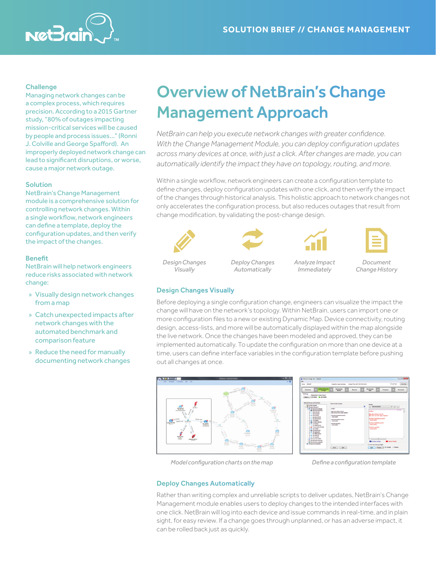

# **Challenge**

Managing network changes can be a complex process, which requires precision. According to a 2015 Gartner study, "80% of outages impacting mission-critical services will be caused by people and process issues…" (Ronni J. Colville and George Spafford). An improperly deployed network change can lead to significant disruptions, or worse, cause a major network outage.

## Solution

NetBrain's Change Management module is a comprehensive solution for controlling network changes. Within a single workflow, network engineers can define a template, deploy the configuration updates, and then verify the impact of the changes.

# Benefit

NetBrain will help network engineers reduce risks associated with network change:

- » Visually design network changes from a map
- » Catch unexpected impacts after network changes with the automated benchmark and comparison feature
- » Reduce the need for manually documenting network changes

# Overview of NetBrain's Change Management Approach

*NetBrain can help you execute network changes with greater confidence. With the Change Management Module, you can deploy configuration updates across many devices at once, with just a click. After changes are made, you can automatically identify the impact they have on topology, routing, and more.*

Within a single workflow, network engineers can create a configuration template to define changes, deploy configuration updates with one click, and then verify the impact of the changes through historical analysis. This holistic approach to network changes not only accelerates the configuration process, but also reduces outages that result from change modification, by validating the post-change design.











*Design Changes Visually*

*Deploy Changes Automatically*

*Analyze Impact Immediately*

*Document Change History*

# Design Changes Visually

Before deploying a single configuration change, engineers can visualize the impact the change will have on the network's topology. Within NetBrain, users can import one or more configuration files to a new or existing Dynamic Map. Device connectivity, routing design, access-lists, and more will be automatically displayed within the map alongside the live network. Once the changes have been modeled and approved, they can be implemented automatically. To update the configuration on more than one device at a time, users can define interface variables in the configuration template before pushing out all changes at once.





*Model configuration charts on the map Define a configuration template*

# Deploy Changes Automatically

Rather than writing complex and unreliable scripts to deliver updates, NetBrain's Change Management module enables users to deploy changes to the intended interfaces with one click. NetBrain will log into each device and issue commands in real-time, and in plain sight, for easy review. If a change goes through unplanned, or has an adverse impact, it can be rolled back just as quickly.